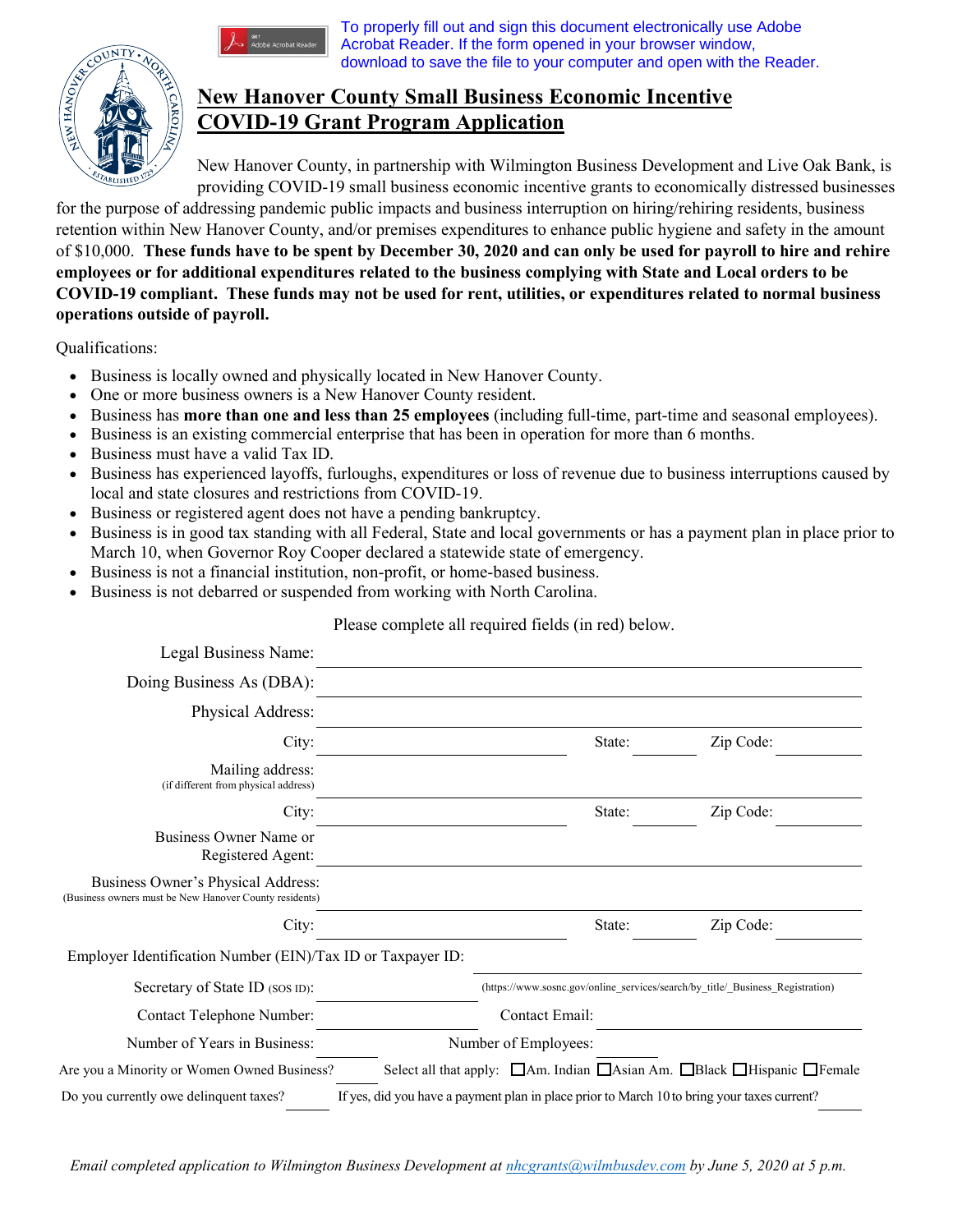

## To properly fill out and sign this document electronically use Adobe Acrobat Reader. If the form opened in your browser window, download to save the file to your computer and open with the Reader.

## **New Hanover County Small Business Economic Incentive COVID-19 Grant Program Application**

New Hanover County, in partnership with Wilmington Business Development and Live Oak Bank, is providing COVID-19 small business economic incentive grants to economically distressed businesses

for the purpose of addressing pandemic public impacts and business interruption on hiring/rehiring residents, business retention within New Hanover County, and/or premises expenditures to enhance public hygiene and safety in the amount of \$10,000. **These funds have to be spent by December 30, 2020 and can only be used for payroll to hire and rehire employees or for additional expenditures related to the business complying with State and Local orders to be COVID-19 compliant. These funds may not be used for rent, utilities, or expenditures related to normal business operations outside of payroll.**

Qualifications:

- Business is locally owned and physically located in New Hanover County.
- One or more business owners is a New Hanover County resident.
- Business has **more than one and less than 25 employees** (including full-time, part-time and seasonal employees).
- Business is an existing commercial enterprise that has been in operation for more than 6 months.
- Business must have a valid Tax ID.
- Business has experienced layoffs, furloughs, expenditures or loss of revenue due to business interruptions caused by local and state closures and restrictions from COVID-19.
- Business or registered agent does not have a pending bankruptcy.
- Business is in good tax standing with all Federal, State and local governments or has a payment plan in place prior to March 10, when Governor Roy Cooper declared a statewide state of emergency.
- Business is not a financial institution, non-profit, or home-based business.
- Business is not debarred or suspended from working with North Carolina.

Please complete all required fields (in red) below.

| Legal Business Name:                                                                                                                      |  |                                                                                |        |           |
|-------------------------------------------------------------------------------------------------------------------------------------------|--|--------------------------------------------------------------------------------|--------|-----------|
| Doing Business As (DBA):                                                                                                                  |  |                                                                                |        |           |
| Physical Address:                                                                                                                         |  |                                                                                |        |           |
| City:                                                                                                                                     |  |                                                                                | State: | Zip Code: |
| Mailing address:<br>(if different from physical address)                                                                                  |  |                                                                                |        |           |
| City:                                                                                                                                     |  |                                                                                | State: | Zip Code: |
| Business Owner Name or<br>Registered Agent:                                                                                               |  |                                                                                |        |           |
| Business Owner's Physical Address:<br>(Business owners must be New Hanover County residents)                                              |  |                                                                                |        |           |
| City:                                                                                                                                     |  |                                                                                | State: | Zip Code: |
| Employer Identification Number (EIN)/Tax ID or Taxpayer ID:                                                                               |  |                                                                                |        |           |
| Secretary of State ID (SOS ID):                                                                                                           |  | (https://www.sosnc.gov/online services/search/by title/ Business Registration) |        |           |
| Contact Telephone Number:                                                                                                                 |  | Contact Email:                                                                 |        |           |
| Number of Years in Business:                                                                                                              |  | Number of Employees:                                                           |        |           |
| Select all that apply: △ △ △ [41] Ann. Indian △ [41] Asian Am. △ Black △ Hispanic △ Female<br>Are you a Minority or Women Owned Business? |  |                                                                                |        |           |
| Do you currently owe delinquent taxes?<br>If yes, did you have a payment plan in place prior to March 10 to bring your taxes current?     |  |                                                                                |        |           |

*Email completed application to Wilmington Business Development at nhcgrants@wilmbusdev.com by June 5, 2020 at 5 p.m.*